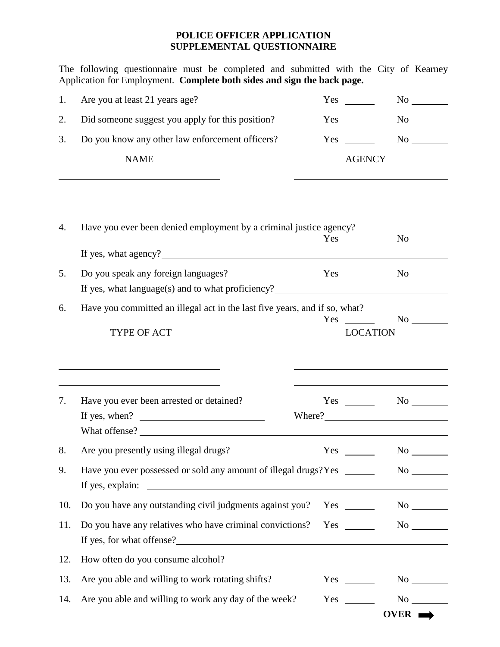## **POLICE OFFICER APPLICATION SUPPLEMENTAL QUESTIONNAIRE**

The following questionnaire must be completed and submitted with the City of Kearney Application for Employment. **Complete both sides and sign the back page.**

| 1.  | Are you at least 21 years age?                                                                                                                          | $Yes \_$        |                                                                                                                                                                                                                               |
|-----|---------------------------------------------------------------------------------------------------------------------------------------------------------|-----------------|-------------------------------------------------------------------------------------------------------------------------------------------------------------------------------------------------------------------------------|
| 2.  | Did someone suggest you apply for this position?                                                                                                        | $Yes \_$        |                                                                                                                                                                                                                               |
| 3.  | Do you know any other law enforcement officers?                                                                                                         | Yes             |                                                                                                                                                                                                                               |
|     | <b>NAME</b>                                                                                                                                             | <b>AGENCY</b>   |                                                                                                                                                                                                                               |
|     |                                                                                                                                                         |                 |                                                                                                                                                                                                                               |
| 4.  | Have you ever been denied employment by a criminal justice agency?                                                                                      | $Yes \_\_$      |                                                                                                                                                                                                                               |
|     |                                                                                                                                                         |                 |                                                                                                                                                                                                                               |
| 5.  | Do you speak any foreign languages?                                                                                                                     | $Yes \_\_$      | $\rm No$ $\qquad$                                                                                                                                                                                                             |
| 6.  | Have you committed an illegal act in the last five years, and if so, what?                                                                              | $Yes \t —$      |                                                                                                                                                                                                                               |
|     | TYPE OF ACT                                                                                                                                             | <b>LOCATION</b> |                                                                                                                                                                                                                               |
|     |                                                                                                                                                         |                 |                                                                                                                                                                                                                               |
| 7.  | Have you ever been arrested or detained?<br>If yes, when? $\qquad \qquad$                                                                               | Where?          | $Yes \t\t No \t\t No$                                                                                                                                                                                                         |
|     | What offense?                                                                                                                                           |                 |                                                                                                                                                                                                                               |
| 8.  | Are you presently using illegal drugs?                                                                                                                  | Yes             | No new years of the set of the set of the set of the set of the set of the set of the set of the set of the set of the set of the set of the set of the set of the set of the set of the set of the set of the set of the set |
| 9.  | Have you ever possessed or sold any amount of illegal drugs? Yes _______<br><u> 1980 - Johann Barnett, fransk politik (d. 1980)</u><br>If yes, explain: |                 | $No$ <sub>__________</sub>                                                                                                                                                                                                    |
| 10. | Do you have any outstanding civil judgments against you?                                                                                                | $Yes \_\_$      |                                                                                                                                                                                                                               |
| 11. | Do you have any relatives who have criminal convictions?                                                                                                | $Yes \_\_$      |                                                                                                                                                                                                                               |
| 12. | How often do you consume alcohol?<br><u>International</u>                                                                                               |                 |                                                                                                                                                                                                                               |
| 13. | Are you able and willing to work rotating shifts?                                                                                                       | $Yes \_\_$      |                                                                                                                                                                                                                               |
| 14. | Are you able and willing to work any day of the week?                                                                                                   | Yes             |                                                                                                                                                                                                                               |
|     |                                                                                                                                                         |                 | OVER $\rightarrow$                                                                                                                                                                                                            |